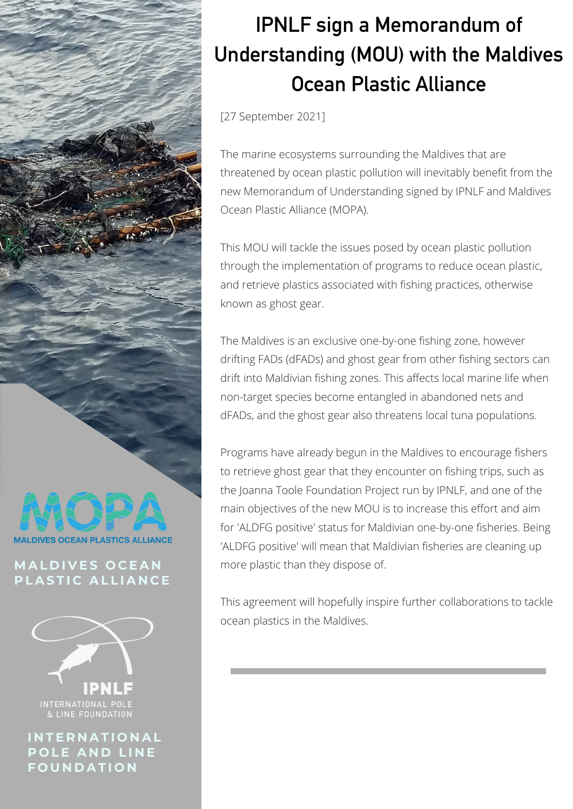

[27 September 2021]

The marine ecosystems surrounding the Maldives that are threatened by ocean plastic pollution will inevitably benefit from the new Memorandum of Understanding signed by IPNLF and Maldives Ocean Plastic Alliance (MOPA).

This MOU will tackle the issues posed by ocean plastic pollution through the implementation of programs to reduce ocean plastic, and retrieve plastics associated with fishing practices, otherwise known as ghost gear.

The Maldives is an exclusive one-by-one fishing zone, however drifting FADs (dFADs) and ghost gear from other fishing sectors can drift into Maldivian fishing zones. This affects local marine life when non-target species become entangled in abandoned nets and dFADs, and the ghost gear also threatens local tuna populations.

Programs have already begun in the Maldives to encourage fishers to retrieve ghost gear that they encounter on fishing trips, such as the Joanna Toole Foundation Project run by IPNLF, and one of the main objectives of the new MOU is to increase this effort and aim for 'ALDFG positive' status for Maldivian one-by-one fisheries. Being 'ALDFG positive' will mean that Maldivian fisheries are cleaning up more plastic than they dispose of.

This agreement will hopefully inspire further collaborations to tackle ocean plastics in the Maldives.



## **M A L D I V E S O C E A N**  $P$  **LASTIC ALLIANCE**



**I N T E R N A T I O N A L P O L E A N D L I N E F O U N D A T I O N**